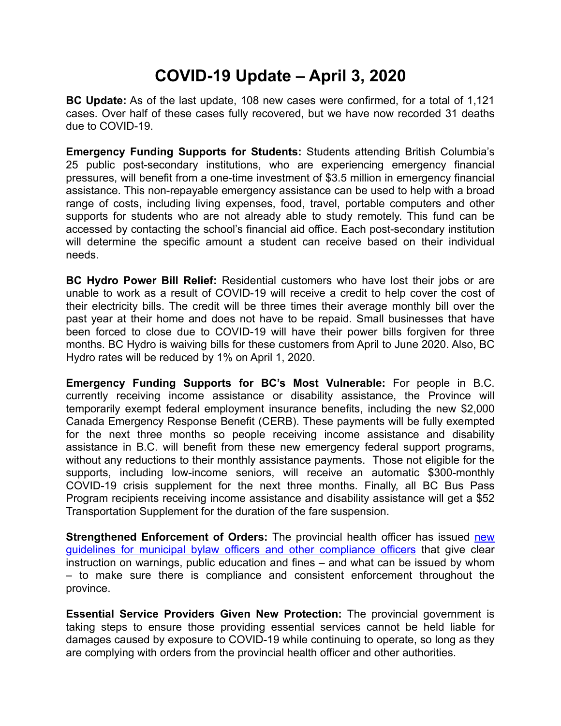## **COVID-19 Update – April 3, 2020**

**BC Update:** As of the last update, 108 new cases were confirmed, for a total of 1,121 cases. Over half of these cases fully recovered, but we have now recorded 31 deaths due to COVID-19.

**Emergency Funding Supports for Students:** Students attending British Columbia's 25 public post-secondary institutions, who are experiencing emergency financial pressures, will benefit from a one-time investment of \$3.5 million in emergency financial assistance. This non-repayable emergency assistance can be used to help with a broad range of costs, including living expenses, food, travel, portable computers and other supports for students who are not already able to study remotely. This fund can be accessed by contacting the school's financial aid office. Each post-secondary institution will determine the specific amount a student can receive based on their individual needs.

**BC Hydro Power Bill Relief:** Residential customers who have lost their jobs or are unable to work as a result of COVID-19 will receive a credit to help cover the cost of their electricity bills. The credit will be three times their average monthly bill over the past year at their home and does not have to be repaid. Small businesses that have been forced to close due to COVID-19 will have their power bills forgiven for three months. BC Hydro is waiving bills for these customers from April to June 2020. Also, BC Hydro rates will be reduced by 1% on April 1, 2020.

**Emergency Funding Supports for BC's Most Vulnerable:** For people in B.C. currently receiving income assistance or disability assistance, the Province will temporarily exempt federal employment insurance benefits, including the new \$2,000 Canada Emergency Response Benefit (CERB). These payments will be fully exempted for the next three months so people receiving income assistance and disability assistance in B.C. will benefit from these new emergency federal support programs, without any reductions to their monthly assistance payments. Those not eligible for the supports, including low-income seniors, will receive an automatic \$300-monthly COVID-19 crisis supplement for the next three months. Finally, all BC Bus Pass Program recipients receiving income assistance and disability assistance will get a \$52 Transportation Supplement for the duration of the fare suspension.

**Strengthened Enforcement of Orders:** The provincial health officer has issued [new](https://www2.gov.bc.ca/assets/gov/health/about-bc-s-health-care-system/office-of-the-provincial-health-officer/covid-19/compliance_and_enforcement_guidance_march_31_2020.pdf) [guidelines for municipal bylaw officers and other compliance officers](https://www2.gov.bc.ca/assets/gov/health/about-bc-s-health-care-system/office-of-the-provincial-health-officer/covid-19/compliance_and_enforcement_guidance_march_31_2020.pdf) that give clear instruction on warnings, public education and fines – and what can be issued by whom – to make sure there is compliance and consistent enforcement throughout the province.

**Essential Service Providers Given New Protection:** The provincial government is taking steps to ensure those providing essential services cannot be held liable for damages caused by exposure to COVID-19 while continuing to operate, so long as they are complying with orders from the provincial health officer and other authorities.